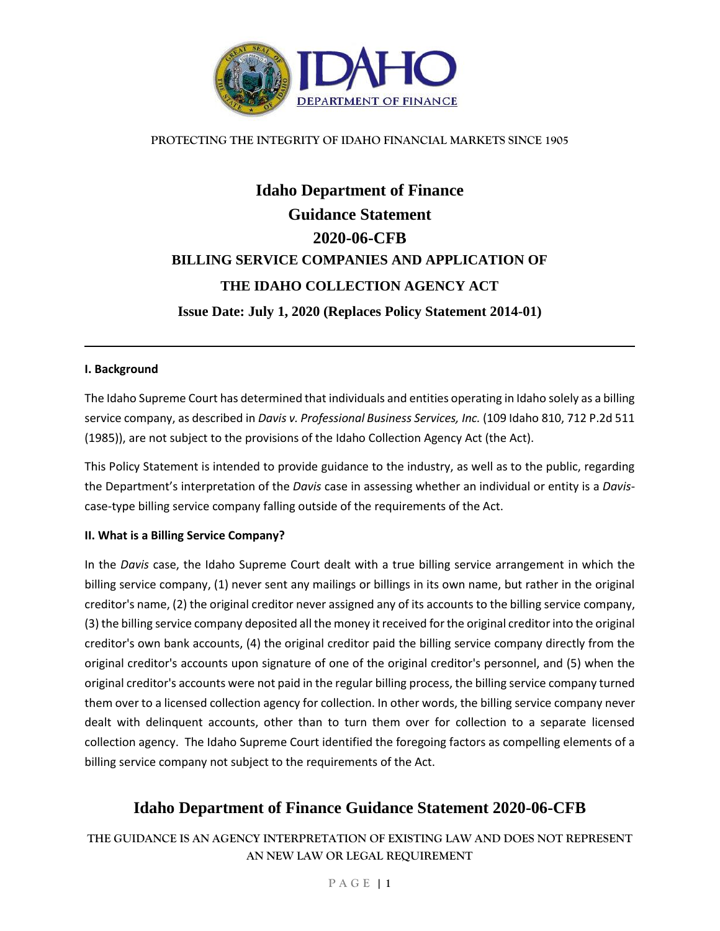

### **PROTECTING THE INTEGRITY OF IDAHO FINANCIAL MARKETS SINCE 1905**

# **Idaho Department of Finance Guidance Statement 2020-06-CFB BILLING SERVICE COMPANIES AND APPLICATION OF THE IDAHO COLLECTION AGENCY ACT Issue Date: July 1, 2020 (Replaces Policy Statement 2014-01)**

### **I. Background**

The Idaho Supreme Court has determined that individuals and entities operating in Idaho solely as a billing service company, as described in *Davis v. Professional Business Services, Inc.* (109 Idaho 810, 712 P.2d 511 (1985)), are not subject to the provisions of the Idaho Collection Agency Act (the Act).

This Policy Statement is intended to provide guidance to the industry, as well as to the public, regarding the Department's interpretation of the *Davis* case in assessing whether an individual or entity is a *Davis*case-type billing service company falling outside of the requirements of the Act.

### **II. What is a Billing Service Company?**

In the *Davis* case, the Idaho Supreme Court dealt with a true billing service arrangement in which the billing service company, (1) never sent any mailings or billings in its own name, but rather in the original creditor's name, (2) the original creditor never assigned any of its accounts to the billing service company, (3) the billing service company deposited all the money it received for the original creditor into the original creditor's own bank accounts, (4) the original creditor paid the billing service company directly from the original creditor's accounts upon signature of one of the original creditor's personnel, and (5) when the original creditor's accounts were not paid in the regular billing process, the billing service company turned them over to a licensed collection agency for collection. In other words, the billing service company never dealt with delinquent accounts, other than to turn them over for collection to a separate licensed collection agency. The Idaho Supreme Court identified the foregoing factors as compelling elements of a billing service company not subject to the requirements of the Act.

### **Idaho Department of Finance Guidance Statement 2020-06-CFB**

**THE GUIDANCE IS AN AGENCY INTERPRETATION OF EXISTING LAW AND DOES NOT REPRESENT AN NEW LAW OR LEGAL REQUIREMENT**